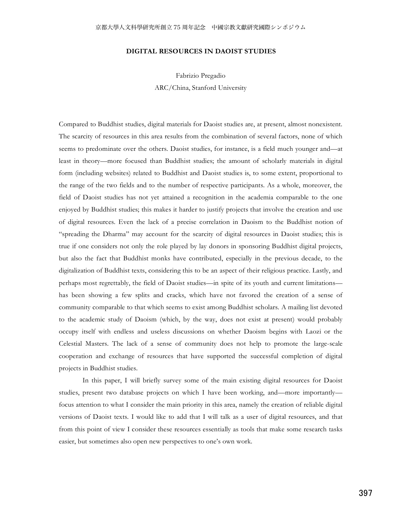# **DIGITAL RESOURCES IN DAOIST STUDIES**

Fabrizio Pregadio

ARC/China, Stanford University

Compared to Buddhist studies, digital materials for Daoist studies are, at present, almost nonexistent. The scarcity of resources in this area results from the combination of several factors, none of which seems to predominate over the others. Daoist studies, for instance, is a field much younger and—at least in theory—more focused than Buddhist studies; the amount of scholarly materials in digital form (including websites) related to Buddhist and Daoist studies is, to some extent, proportional to the range of the two fields and to the number of respective participants. As a whole, moreover, the field of Daoist studies has not yet attained a recognition in the academia comparable to the one enjoyed by Buddhist studies; this makes it harder to justify projects that involve the creation and use of digital resources. Even the lack of a precise correlation in Daoism to the Buddhist notion of "spreading the Dharma" may account for the scarcity of digital resources in Daoist studies; this is true if one considers not only the role played by lay donors in sponsoring Buddhist digital projects, but also the fact that Buddhist monks have contributed, especially in the previous decade, to the digitalization of Buddhist texts, considering this to be an aspect of their religious practice. Lastly, and perhaps most regrettably, the field of Daoist studies—in spite of its youth and current limitations has been showing a few splits and cracks, which have not favored the creation of a sense of community comparable to that which seems to exist among Buddhist scholars. A mailing list devoted to the academic study of Daoism (which, by the way, does not exist at present) would probably occupy itself with endless and useless discussions on whether Daoism begins with Laozi or the Celestial Masters. The lack of a sense of community does not help to promote the large-scale cooperation and exchange of resources that have supported the successful completion of digital projects in Buddhist studies.

 In this paper, I will briefly survey some of the main existing digital resources for Daoist studies, present two database projects on which I have been working, and—more importantly focus attention to what I consider the main priority in this area, namely the creation of reliable digital versions of Daoist texts. I would like to add that I will talk as a user of digital resources, and that from this point of view I consider these resources essentially as tools that make some research tasks easier, but sometimes also open new perspectives to one's own work.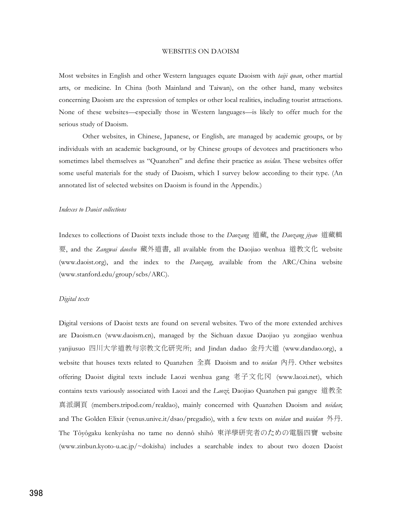## WEBSITES ON DAOISM

Most websites in English and other Western languages equate Daoism with *taiji quan*, other martial arts, or medicine. In China (both Mainland and Taiwan), on the other hand, many websites concerning Daoism are the expression of temples or other local realities, including tourist attractions. None of these websites—especially those in Western languages—is likely to offer much for the serious study of Daoism.

 Other websites, in Chinese, Japanese, or English, are managed by academic groups, or by individuals with an academic background, or by Chinese groups of devotees and practitioners who sometimes label themselves as "Quanzhen" and define their practice as *neidan*. These websites offer some useful materials for the study of Daoism, which I survey below according to their type. (An annotated list of selected websites on Daoism is found in the Appendix.)

## *Indexes to Daoist collections*

Indexes to collections of Daoist texts include those to the *Daozang* 道藏, the *Daozang jiyao* 道藏輯 要, and the *Zangwai daoshu* 藏外道書, all available from the Daojiao wenhua 道教文化 website (www.daoist.org), and the index to the *Daozang*, available from the ARC/China website (www.stanford.edu/group/scbs/ARC).

### *Digital texts*

Digital versions of Daoist texts are found on several websites. Two of the more extended archives are Daoism.cn (www.daoism.cn), managed by the Sichuan daxue Daojiao yu zongjiao wenhua yanjiusuo 四川大学道教与宗教文化研究所; and Jindan dadao 金丹大道 (www.dandao.org), a website that houses texts related to Quanzhen 全真 Daoism and to *neidan* 內丹. Other websites offering Daoist digital texts include Laozi wenhua gang 老子文化冈 (www.laozi.net), which contains texts variously associated with Laozi and the *Laozi*; Daojiao Quanzhen pai gangye (members.tripod.com/realdao), mainly concerned with Quanzhen Daoism and *neidan*; and The Golden Elixir (venus.unive.it/dsao/pregadio), with a few texts on *neidan* and *waidan* 外丹. The Tôyôgaku kenkyûsha no tame no dennô shihô 東洋學研究者のための電腦四寶 website (www.zinbun.kyoto-u.ac.jp/~dokisha) includes a searchable index to about two dozen Daoist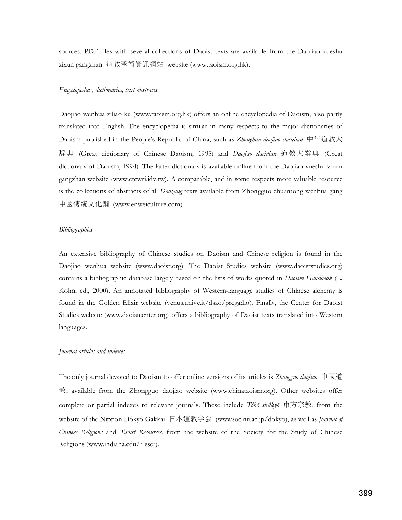sources. PDF files with several collections of Daoist texts are available from the Daojiao xueshu zixun gangzhan 道教學術資訊綱站 website (www.taoism.org.hk).

### *Encyclopedias, dictionaries, text abstracts*

Daojiao wenhua ziliao ku (www.taoism.org.hk) offers an online encyclopedia of Daoism, also partly translated into English. The encyclopedia is similar in many respects to the major dictionaries of Daoism published in the People's Republic of China, such as *Zhonghua daojiao dacidian* 中华道教大 辞典 (Great dictionary of Chinese Daoism; 1995) and *Daojiao dacidian* 道教大辭典 (Great dictionary of Daoism; 1994). The latter dictionary is available online from the Daojiao xueshu zixun gangzhan website (www.ctcwri.idv.tw). A comparable, and in some respects more valuable resource is the collections of abstracts of all *Daozang* texts available from Zhongguo chuantong wenhua gang 中國傳統文化鋼 (www.enweiculture.com).

### *Bibliographies*

An extensive bibliography of Chinese studies on Daoism and Chinese religion is found in the Daojiao wenhua website (www.daoist.org). The Daoist Studies website (www.daoiststudies.org) contains a bibliographic database largely based on the lists of works quoted in *Daoism Handbook* (L. Kohn, ed., 2000). An annotated bibliography of Western-language studies of Chinese alchemy is found in the Golden Elixir website (venus.unive.it/dsao/pregadio). Finally, the Center for Daoist Studies website (www.daoistcenter.org) offers a bibliography of Daoist texts translated into Western languages.

### *Journal articles and indexes*

The only journal devoted to Daoism to offer online versions of its articles is *Zhongguo daojiao* 中國道 , available from the Zhongguo daojiao website (www.chinataoism.org). Other websites offer complete or partial indexes to relevant journals. These include *Tôhô shûkyô* 東方宗教, from the website of the Nippon Dôkyô Gakkai 日本道教学会 (wwwsoc.nii.ac.jp/dokyo), as well as *Journal of Chinese Religions* and *Taoist Resources*, from the website of the Society for the Study of Chinese Religions (www.indiana.edu/~sscr).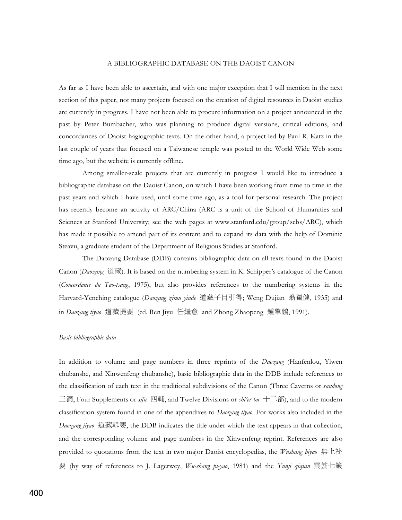## A BIBLIOGRAPHIC DATABASE ON THE DAOIST CANON

As far as I have been able to ascertain, and with one major exception that I will mention in the next section of this paper, not many projects focused on the creation of digital resources in Daoist studies are currently in progress. I have not been able to procure information on a project announced in the past by Peter Bumbacher, who was planning to produce digital versions, critical editions, and concordances of Daoist hagiographic texts. On the other hand, a project led by Paul R. Katz in the last couple of years that focused on a Taiwanese temple was posted to the World Wide Web some time ago, but the website is currently offline.

 Among smaller-scale projects that are currently in progress I would like to introduce a bibliographic database on the Daoist Canon, on which I have been working from time to time in the past years and which I have used, until some time ago, as a tool for personal research. The project has recently become an activity of ARC/China (ARC is a unit of the School of Humanities and Sciences at Stanford University; see the web pages at www.stanford.edu/group/scbs/ARC), which has made it possible to amend part of its content and to expand its data with the help of Dominic Steavu, a graduate student of the Department of Religious Studies at Stanford.

 The Daozang Database (DDB) contains bibliographic data on all texts found in the Daoist Canon (*Daozang* 道藏). It is based on the numbering system in K. Schipper's catalogue of the Canon (*Concordance du Tao-tsang*, 1975), but also provides references to the numbering systems in the Harvard-Yenching catalogue (Daozang zimu yinde 道藏子目引得; Weng Dujian 翁獨健, 1935) and in *Daozang tiyao* 道藏提要 (ed. Ren Jiyu 任繼愈 and Zhong Zhaopeng 鍾肇鵬, 1991).

## *Basic bibliographic data*

In addition to volume and page numbers in three reprints of the *Daozang* (Hanfenlou, Yiwen chubanshe, and Xinwenfeng chubanshe), basic bibliographic data in the DDB include references to the classification of each text in the traditional subdivisions of the Canon (Three Caverns or *sandong* 三洞, Four Supplements or *sifu* 四輔, and Twelve Divisions or *shi'er bu* 十二部), and to the modern classification system found in one of the appendixes to *Daozang tiyao*. For works also included in the Daozang jiyao 道藏輯要, the DDB indicates the title under which the text appears in that collection, and the corresponding volume and page numbers in the Xinwenfeng reprint. References are also provided to quotations from the text in two major Daoist encyclopedias, the *Wushang biyao*  (by way of references to J. Lagerwey, *Wu-shang pi-yao*, 1981) and the *Yunji qiqian*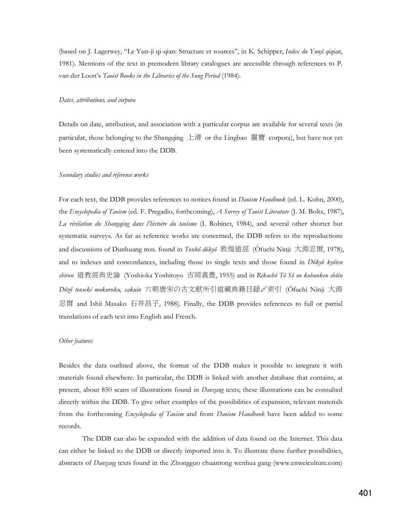(based on J. Lagerwey, "Le Yun-ji qi-qian: Structure et sources", in K. Schipper, *Index du Yunji qiqian*, 1981). Mentions of the text in premodern library catalogues are accessible through references to P. van der Loon's *Taoist Books in the Libraries of the Sung Period* (1984).

#### *Dates, attributions, and corpora*

Details on date, attribution, and association with a particular corpus are available for several texts (in particular, those belonging to the Shangqing 上清 or the Lingbao 靈寶 corpora), but have not yet been systematically entered into the DDB.

#### *Secondary studies and reference works*

For each text, the DDB provides references to notices found in *Daoism Handbook* (ed. L. Kohn, 2000), the *Encyclopedia of Taoism* (ed. F. Pregadio, forthcoming), *A Survey of Taoist Literature* (J. M. Boltz, 1987), *La révélation du Shangqing dans l'histoire du taoïsme* (I. Robinet, 1984), and several other shorter but systematic surveys. As far as reference works are concerned, the DDB refers to the reproductions and discussions of Dunhuang mss. found in *Tonkô dôkyô* 敦煌道經 (Ôfuchi Ninji 大淵忍爾, 1978), and to indexes and concordances, including those to single texts and those found in *Dôkyô kyôten*  shiron 道教經典史論 (Yoshioka Yoshitoyo 吉岡義豊, 1955) and in *Rikuchô Tô Sô no kobunken shôin*  $D$ ôzô *tenseki mokuroku, sakuin* 六朝唐宋の古文献所引道藏典籍目録〆索引 (Ôfuchi Ninji 大淵 忍爾 and Ishii Masako 石井昌子, 1988). Finally, the DDB provides references to full or partial translations of each text into English and French.

### *Other features*

Besides the data outlined above, the format of the DDB makes it possible to integrate it with materials found elsewhere. In particular, the DDB is linked with another database that contains, at present, about 850 scans of illustrations found in *Daozang* texts; these illustrations can be consulted directly within the DDB. To give other examples of the possibilities of expansion, relevant materials from the forthcoming *Encyclopedia of Taoism* and from *Daoism Handbook* have been added to some records.

 The DDB can also be expanded with the addition of data found on the Internet. This data can either be linked to the DDB or directly imported into it. To illustrate these further possibilities, abstracts of *Daozang* texts found in the Zhongguo chuantong wenhua gang (www.enweiculture.com)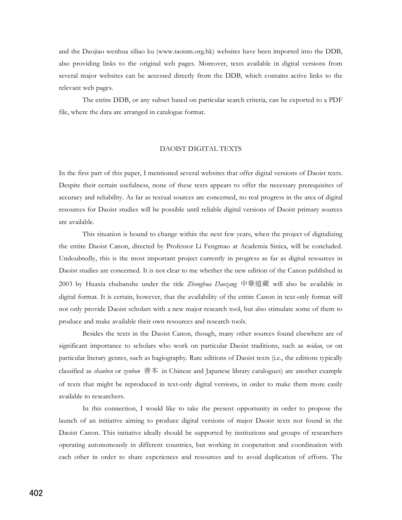and the Daojiao wenhua ziliao ku (www.taoism.org.hk) websites have been imported into the DDB, also providing links to the original web pages. Moreover, texts available in digital versions from several major websites can be accessed directly from the DDB, which contains active links to the relevant web pages.

 The entire DDB, or any subset based on particular search criteria, can be exported to a PDF file, where the data are arranged in catalogue format.

## DAOIST DIGITAL TEXTS

In the first part of this paper, I mentioned several websites that offer digital versions of Daoist texts. Despite their certain usefulness, none of these texts appears to offer the necessary prerequisites of accuracy and reliability. As far as textual sources are concerned, no real progress in the area of digital resources for Daoist studies will be possible until reliable digital versions of Daoist primary sources are available.

 This situation is bound to change within the next few years, when the project of digitalizing the entire Daoist Canon, directed by Professor Li Fengmao at Academia Sinica, will be concluded. Undoubtedly, this is the most important project currently in progress as far as digital resources in Daoist studies are concerned. It is not clear to me whether the new edition of the Canon published in 2003 by Huaxia chubanshe under the title *Zhonghua Daozang* 中華道藏 will also be available in digital format. It is certain, however, that the availability of the entire Canon in text-only format will not only provide Daoist scholars with a new major research tool, but also stimulate some of them to produce and make available their own resources and research tools.

 Besides the texts in the Daoist Canon, though, many other sources found elsewhere are of significant importance to scholars who work on particular Daoist traditions, such as *neidan*, or on particular literary genres, such as hagiography. Rare editions of Daoist texts (i.e., the editions typically classified as *shanben* or *zenbon* 善本 in Chinese and Japanese library catalogues) are another example of texts that might be reproduced in text-only digital versions, in order to make them more easily available to researchers.

 In this connection, I would like to take the present opportunity in order to propose the launch of an initiative aiming to produce digital versions of major Daoist texts not found in the Daoist Canon. This initiative ideally should be supported by institutions and groups of researchers operating autonomously in different countries, but working in cooperation and coordination with each other in order to share experiences and resources and to avoid duplication of efforts. The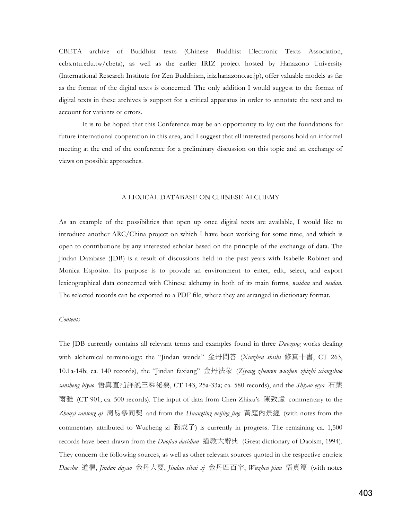CBETA archive of Buddhist texts (Chinese Buddhist Electronic Texts Association, ccbs.ntu.edu.tw/cbeta), as well as the earlier IRIZ project hosted by Hanazono University (International Research Institute for Zen Buddhism, iriz.hanazono.ac.jp), offer valuable models as far as the format of the digital texts is concerned. The only addition I would suggest to the format of digital texts in these archives is support for a critical apparatus in order to annotate the text and to account for variants or errors.

 It is to be hoped that this Conference may be an opportunity to lay out the foundations for future international cooperation in this area, and I suggest that all interested persons hold an informal meeting at the end of the conference for a preliminary discussion on this topic and an exchange of views on possible approaches.

#### A LEXICAL DATABASE ON CHINESE ALCHEMY

As an example of the possibilities that open up once digital texts are available, I would like to introduce another ARC/China project on which I have been working for some time, and which is open to contributions by any interested scholar based on the principle of the exchange of data. The Jindan Database (JDB) is a result of discussions held in the past years with Isabelle Robinet and Monica Esposito. Its purpose is to provide an environment to enter, edit, select, and export lexicographical data concerned with Chinese alchemy in both of its main forms, *waidan* and *neidan*. The selected records can be exported to a PDF file, where they are arranged in dictionary format.

### *Contents*

The JDB currently contains all relevant terms and examples found in three *Daozang* works dealing with alchemical terminology: the "Jindan wenda" 金丹問答 (Xiuzhen shishi 修真十書, CT 263, 10.1a-14b; ca. 140 records), the "Jindan faxiang" & (*Ziyang zhenren wuzhen zhizhi xiangshuo sansheng biyao* 悟真直指詳説三乘祕要, CT 143, 25a-33a; ca. 580 records), and the *Shiyao erya* 石藥 爾雅 (CT 901; ca. 500 records). The input of data from Chen Zhixu's 陳致虛 commentary to the Zhouyi cantong qi 周易參同契 and from the *Huangting neijing jing* 黃庭內景經 (with notes from the commentary attributed to Wucheng zi  $\mathcal{B} \times \mathcal{F}$  is currently in progress. The remaining ca. 1,500 records have been drawn from the *Daojiao dacidian* 道教大辭典 (Great dictionary of Daoism, 1994). They concern the following sources, as well as other relevant sources quoted in the respective entries: *Daoshu* +., *Jindan dayao* , *Jindan sibai zi*  , *Wuzhen pian* / (with notes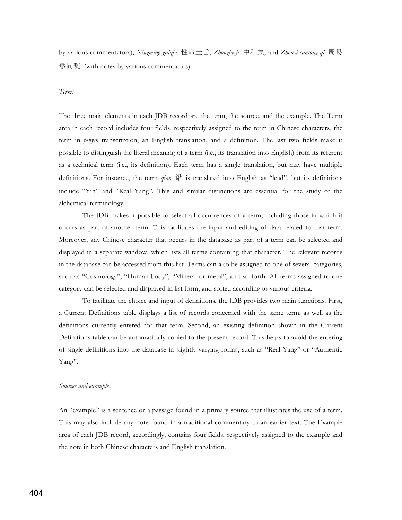by various commentators), *Xingming guizhi* 性命圭旨, *Zhonghe ji* 中和集, and *Zhouyi cantong qi* 周易 參同契 (with notes by various commentators).

## *Terms*

The three main elements in each JDB record are the term, the source, and the example. The Term area in each record includes four fields, respectively assigned to the term in Chinese characters, the term in *pinyin* transcription, an English translation, and a definition. The last two fields make it possible to distinguish the literal meaning of a term (i.e., its translation into English) from its referent as a technical term (i.e., its definition). Each term has a single translation, but may have multiple definitions. For instance, the term *qian* is translated into English as "lead", but its definitions include "Yin" and "Real Yang". This and similar distinctions are essential for the study of the alchemical terminology.

 The JDB makes it possible to select all occurrences of a term, including those in which it occurs as part of another term. This facilitates the input and editing of data related to that term. Moreover, any Chinese character that occurs in the database as part of a term can be selected and displayed in a separate window, which lists all terms containing that character. The relevant records in the database can be accessed from this list. Terms can also be assigned to one of several categories, such as "Cosmology", "Human body", "Mineral or metal", and so forth. All terms assigned to one category can be selected and displayed in list form, and sorted according to various criteria.

 To facilitate the choice and input of definitions, the JDB provides two main functions. First, a Current Definitions table displays a list of records concerned with the same term, as well as the definitions currently entered for that term. Second, an existing definition shown in the Current Definitions table can be automatically copied to the present record. This helps to avoid the entering of single definitions into the database in slightly varying forms, such as "Real Yang" or "Authentic Yang".

#### *Sources and examples*

An "example" is a sentence or a passage found in a primary source that illustrates the use of a term. This may also include any note found in a traditional commentary to an earlier text. The Example area of each JDB record, accordingly, contains four fields, respectively assigned to the example and the note in both Chinese characters and English translation.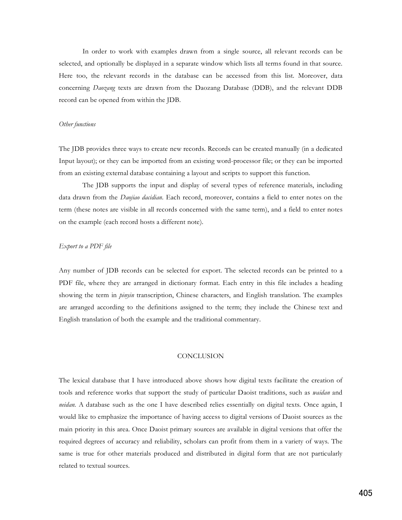In order to work with examples drawn from a single source, all relevant records can be selected, and optionally be displayed in a separate window which lists all terms found in that source. Here too, the relevant records in the database can be accessed from this list. Moreover, data concerning *Daozang* texts are drawn from the Daozang Database (DDB), and the relevant DDB record can be opened from within the JDB.

### *Other functions*

The JDB provides three ways to create new records. Records can be created manually (in a dedicated Input layout); or they can be imported from an existing word-processor file; or they can be imported from an existing external database containing a layout and scripts to support this function.

 The JDB supports the input and display of several types of reference materials, including data drawn from the *Daojiao dacidian*. Each record, moreover, contains a field to enter notes on the term (these notes are visible in all records concerned with the same term), and a field to enter notes on the example (each record hosts a different note).

## *Export to a PDF file*

Any number of JDB records can be selected for export. The selected records can be printed to a PDF file, where they are arranged in dictionary format. Each entry in this file includes a heading showing the term in *pinyin* transcription, Chinese characters, and English translation. The examples are arranged according to the definitions assigned to the term; they include the Chinese text and English translation of both the example and the traditional commentary.

## **CONCLUSION**

The lexical database that I have introduced above shows how digital texts facilitate the creation of tools and reference works that support the study of particular Daoist traditions, such as *waidan* and *neidan*. A database such as the one I have described relies essentially on digital texts. Once again, I would like to emphasize the importance of having access to digital versions of Daoist sources as the main priority in this area. Once Daoist primary sources are available in digital versions that offer the required degrees of accuracy and reliability, scholars can profit from them in a variety of ways. The same is true for other materials produced and distributed in digital form that are not particularly related to textual sources.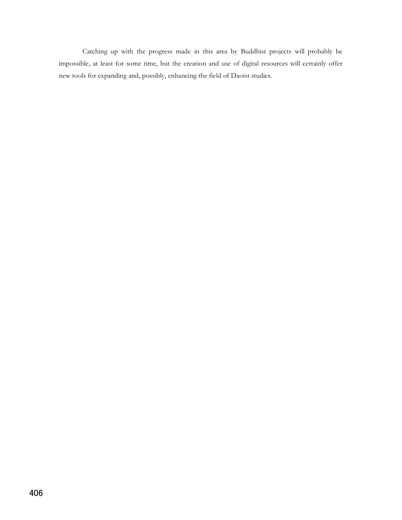Catching up with the progress made in this area by Buddhist projects will probably be impossible, at least for some time, but the creation and use of digital resources will certainly offer new tools for expanding and, possibly, enhancing the field of Daoist studies.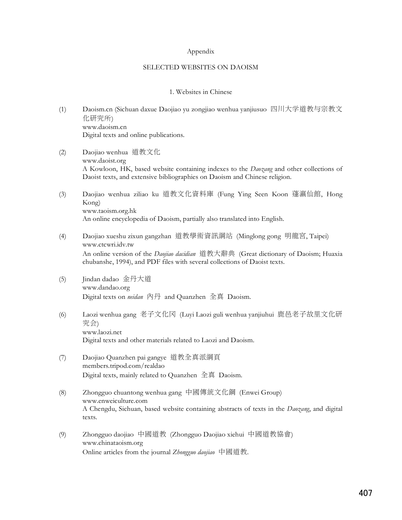## Appendix

## SELECTED WEBSITES ON DAOISM

## 1. Websites in Chinese

- (1) Daoism.cn (Sichuan daxue Daojiao yu zongjiao wenhua yanjiusuo 四川大学道教与宗教文 化研究所) www.daoism.cn Digital texts and online publications.
- (2) Daojiao wenhua 道教文化 www.daoist.org A Kowloon, HK, based website containing indexes to the *Daozang* and other collections of Daoist texts, and extensive bibliographies on Daoism and Chinese religion.
- (3) Daojiao wenhua ziliao ku 道教文化資料庫 (Fung Ying Seen Koon 蓬瀛仙館, Hong Kong) www.taoism.org.hk An online encyclopedia of Daoism, partially also translated into English.
- (4) Daojiao xueshu zixun gangzhan 道教學術資訊綱站 (Minglong gong 明龍宮, Taipei) www.ctcwri.idv.tw An online version of the *Daojiao dacidian* 道教大辭典 (Great dictionary of Daoism; Huaxia chubanshe, 1994), and PDF files with several collections of Daoist texts.
- (5) Jindan dadao 金丹大道 www.dandao.org Digital texts on *neidan* 內丹 and Quanzhen 全真 Daoism.
- (6) Laozi wenhua gang 老子文化冈 (Luyi Laozi guli wenhua yanjiuhui 鹿邑老子故里文化研 究会) www.laozi.net Digital texts and other materials related to Laozi and Daoism.
- (7) Daojiao Quanzhen pai gangye 道教全真派綱頁 members.tripod.com/realdao Digital texts, mainly related to Quanzhen 全真 Daoism.
- (8) Zhongguo chuantong wenhua gang 中國傳統文化鋼 (Enwei Group) www.enweiculture.com A Chengdu, Sichuan, based website containing abstracts of texts in the *Daozang*, and digital texts.
- (9) Zhongguo daojiao 中國道教 (Zhongguo Daojiao xiehui 中國道教協會) www.chinataoism.org Online articles from the journal *Zhongguo daojiao* 中國道教.